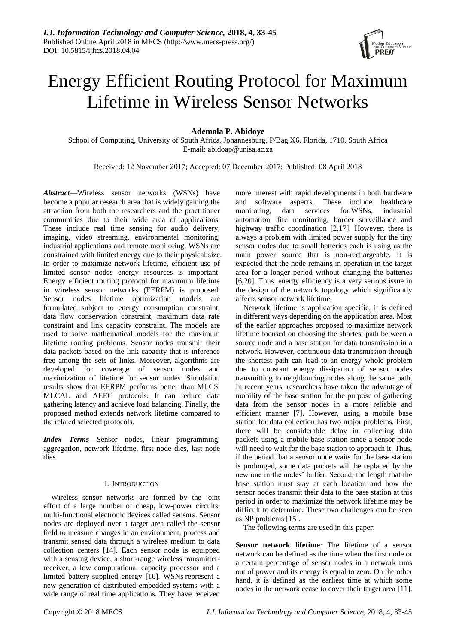

# Energy Efficient Routing Protocol for Maximum Lifetime in Wireless Sensor Networks

# **Ademola P. Abidoye**

School of Computing, University of South Africa, Johannesburg, P/Bag X6, Florida, 1710, South Africa E-mail: abidoap@unisa.ac.za

Received: 12 November 2017; Accepted: 07 December 2017; Published: 08 April 2018

*Abstract*—Wireless sensor networks (WSNs) have become a popular research area that is widely gaining the attraction from both the researchers and the practitioner communities due to their wide area of applications. These include real time sensing for audio delivery, imaging, video streaming, environmental monitoring, industrial applications and remote monitoring. WSNs are constrained with limited energy due to their physical size. In order to maximize network lifetime, efficient use of limited sensor nodes energy resources is important. Energy efficient routing protocol for maximum lifetime in wireless sensor networks (EERPM) is proposed. Sensor nodes lifetime optimization models are formulated subject to energy consumption constraint, data flow conservation constraint, maximum data rate constraint and link capacity constraint. The models are used to solve mathematical models for the maximum lifetime routing problems. Sensor nodes transmit their data packets based on the link capacity that is inference free among the sets of links. Moreover, algorithms are developed for coverage of sensor nodes and maximization of lifetime for sensor nodes. Simulation results show that EERPM performs better than MLCS, MLCAL and AEEC protocols. It can reduce data gathering latency and achieve load balancing. Finally, the proposed method extends network lifetime compared to the related selected protocols.

*Index Terms*—Sensor nodes, linear programming, aggregation, network lifetime, first node dies, last node dies.

# I. INTRODUCTION

Wireless sensor networks are formed by the joint effort of a large number of cheap, low-power circuits, multi-functional electronic devices called sensors. Sensor nodes are deployed over a target area called the sensor field to measure changes in an environment, process and transmit sensed data through a wireless medium to data collection centers [14]. Each sensor node is equipped with a sensing device, a short-range wireless transmitterreceiver, a low computational capacity processor and a limited battery-supplied energy [16]. WSNs represent a new generation of distributed embedded systems with a wide range of real time applications. They have received

more interest with rapid developments in both hardware and software aspects. These include healthcare monitoring, data services for WSNs, industrial automation, fire monitoring, border surveillance and highway traffic coordination [2,17]. However, there is always a problem with limited power supply for the tiny sensor nodes due to small batteries each is using as the main power source that is non-rechargeable. It is expected that the node remains in operation in the target area for a longer period without changing the batteries [6,20]. Thus, energy efficiency is a very serious issue in the design of the network topology which significantly affects sensor network lifetime.

Network lifetime is application specific; it is defined in different ways depending on the application area. Most of the earlier approaches proposed to maximize network lifetime focused on choosing the shortest path between a source node and a base station for data transmission in a network. However, continuous data transmission through the shortest path can lead to an energy whole problem due to constant energy dissipation of sensor nodes transmitting to neighbouring nodes along the same path. In recent years, researchers have taken the advantage of mobility of the base station for the purpose of gathering data from the sensor nodes in a more reliable and efficient manner [7]. However, using a mobile base station for data collection has two major problems. First, there will be considerable delay in collecting data packets using a mobile base station since a sensor node will need to wait for the base station to approach it. Thus, if the period that a sensor node waits for the base station is prolonged, some data packets will be replaced by the new one in the nodes' buffer. Second, the length that the base station must stay at each location and how the sensor nodes transmit their data to the base station at this period in order to maximize the network lifetime may be difficult to determine. These two challenges can be seen as NP problems [15].

The following terms are used in this paper:

**Sensor network lifetime***:* The lifetime of a sensor network can be defined as the time when the first node or a certain percentage of sensor nodes in a network runs out of power and its energy is equal to zero. On the other hand, it is defined as the earliest time at which some nodes in the network cease to cover their target area [11].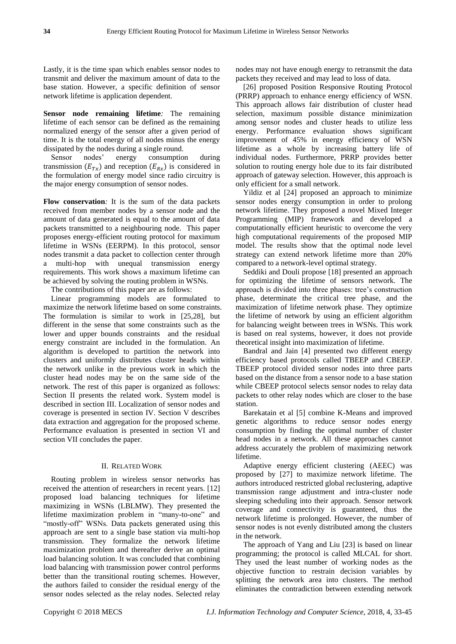Lastly, it is the time span which enables sensor nodes to transmit and deliver the maximum amount of data to the base station. However, a specific definition of sensor network lifetime is application dependent.

**Sensor node remaining lifetime***:* The remaining lifetime of each sensor can be defined as the remaining normalized energy of the sensor after a given period of time. It is the total energy of all nodes minus the energy dissipated by the nodes during a single round.

Sensor nodes' energy consumption during transmission  $(E_{Tx})$  and reception  $(E_{Rx})$  is considered in the formulation of energy model since radio circuitry is the major energy consumption of sensor nodes.

**Flow conservation***:* It is the sum of the data packets received from member nodes by a sensor node and the amount of data generated is equal to the amount of data packets transmitted to a neighbouring node. This paper proposes energy-efficient routing protocol for maximum lifetime in WSNs (EERPM). In this protocol, sensor nodes transmit a data packet to collection center through multi-hop with unequal transmission energy requirements. This work shows a maximum lifetime can be achieved by solving the routing problem in WSNs.

The contributions of this paper are as follows:

Linear programming models are formulated to maximize the network lifetime based on some constraints. The formulation is similar to work in [25,28], but different in the sense that some constraints such as the lower and upper bounds constraints and the residual energy constraint are included in the formulation. An algorithm is developed to partition the network into clusters and uniformly distributes cluster heads within the network unlike in the previous work in which the cluster head nodes may be on the same side of the network. The rest of this paper is organized as follows: Section II presents the related work. System model is described in section III. Localization of sensor nodes and coverage is presented in section IV. Section V describes data extraction and aggregation for the proposed scheme. Performance evaluation is presented in section VI and section VII concludes the paper.

# II. RELATED WORK

Routing problem in wireless sensor networks has received the attention of researchers in recent years. [12] proposed load balancing techniques for lifetime maximizing in WSNs (LBLMW). They presented the lifetime maximization problem in "many-to-one" and "mostly-off" WSNs. Data packets generated using this approach are sent to a single base station via multi-hop transmission. They formalize the network lifetime maximization problem and thereafter derive an optimal load balancing solution. It was concluded that combining load balancing with transmission power control performs better than the transitional routing schemes. However, the authors failed to consider the residual energy of the sensor nodes selected as the relay nodes. Selected relay

nodes may not have enough energy to retransmit the data packets they received and may lead to loss of data.

[26] proposed Position Responsive Routing Protocol (PRRP) approach to enhance energy efficiency of WSN. This approach allows fair distribution of cluster head selection, maximum possible distance minimization among sensor nodes and cluster heads to utilize less energy. Performance evaluation shows significant improvement of 45% in energy efficiency of WSN lifetime as a whole by increasing battery life of individual nodes. Furthermore, PRRP provides better solution to routing energy hole due to its fair distributed approach of gateway selection. However, this approach is only efficient for a small network.

Yildiz et al [24] proposed an approach to minimize sensor nodes energy consumption in order to prolong network lifetime. They proposed a novel Mixed Integer Programming (MIP) framework and developed a computationally efficient heuristic to overcome the very high computational requirements of the proposed MIP model. The results show that the optimal node level strategy can extend network lifetime more than 20% compared to a network-level optimal strategy.

Seddiki and Douli propose [18] presented an approach for optimizing the lifetime of sensors network. The approach is divided into three phases: tree's construction phase, determinate the critical tree phase, and the maximization of lifetime network phase. They optimize the lifetime of network by using an efficient algorithm for balancing weight between trees in WSNs. This work is based on real systems, however, it does not provide theoretical insight into maximization of lifetime.

Bandral and Jain [4] presented two different energy efficiency based protocols called TBEEP and CBEEP. TBEEP protocol divided sensor nodes into three parts based on the distance from a sensor node to a base station while CBEEP protocol selects sensor nodes to relay data packets to other relay nodes which are closer to the base station.

Barekatain et al [5] combine K-Means and improved genetic algorithms to reduce sensor nodes energy consumption by finding the optimal number of cluster head nodes in a network. All these approaches cannot address accurately the problem of maximizing network lifetime.

Adaptive energy efficient clustering (AEEC) was proposed by [27] to maximize network lifetime. The authors introduced restricted global reclustering, adaptive transmission range adjustment and intra-cluster node sleeping scheduling into their approach. Sensor network coverage and connectivity is guaranteed, thus the network lifetime is prolonged. However, the number of sensor nodes is not evenly distributed among the clusters in the network.

The approach of Yang and Liu [23] is based on linear programming; the protocol is called MLCAL for short. They used the least number of working nodes as the objective function to restrain decision variables by splitting the network area into clusters. The method eliminates the contradiction between extending network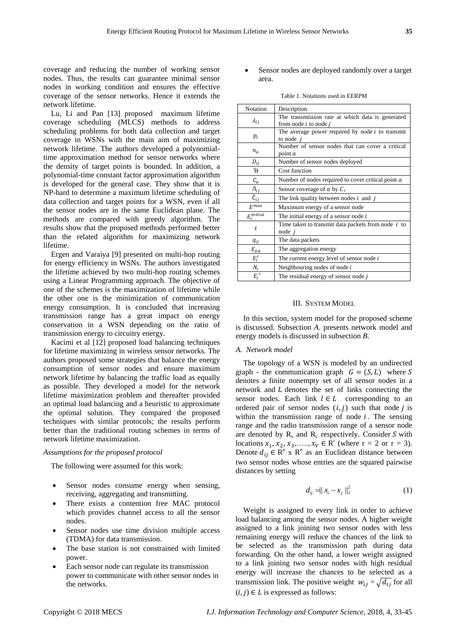coverage and reducing the number of working sensor nodes. Thus, the results can guarantee minimal sensor nodes in working condition and ensures the effective coverage of the sensor networks. Hence it extends the network lifetime.

Lu, Li and Pan [13] proposed maximum lifetime coverage scheduling (MLCS) methods to address scheduling problems for both data collection and target coverage in WSNs with the main aim of maximizing network lifetime. The authors developed a polynomialtime approximation method for sensor networks where the density of target points is bounded. In addition, a polynomial-time constant factor approximation algorithm is developed for the general case. They show that it is NP-hard to determine a maximum lifetime scheduling of data collection and target points for a WSN, even if all the sensor nodes are in the same Euclidean plane. The methods are compared with greedy algorithm. The results show that the proposed methods performed better than the related algorithm for maximizing network lifetime.

Ergen and Varaiya [9] presented on multi-hop routing for energy efficiency in WSNs. The authors investigated the lifetime achieved by two multi-hop routing schemes using a Linear Programming approach. The objective of one of the schemes is the maximization of lifetime while the other one is the minimization of communication energy consumption. It is concluded that increasing transmission range has a great impact on energy conservation in a WSN depending on the ratio of transmission energy to circuitry energy.

Kacimi et al [12] proposed load balancing techniques for lifetime maximizing in wireless sensor networks. The authors proposed some strategies that balance the energy consumption of sensor nodes and ensure maximum network lifetime by balancing the traffic load as equally as possible. They developed a model for the network lifetime maximization problem and thereafter provided an optimal load balancing and a heuristic to approximate the optimal solution. They compared the proposed techniques with similar protocols; the results perform better than the traditional routing schemes in terms of network lifetime maximization.

# *Assumptions for the proposed protocol*

The following were assumed for this work:

- Sensor nodes consume energy when sensing, receiving, aggregating and transmitting.
- There exists a contention free MAC protocol which provides channel access to all the sensor nodes.
- Sensor nodes use time division multiple access (TDMA) for data transmission.
- The base station is not constrained with limited power.
- Each sensor node can regulate its transmission power to communicate with other sensor nodes in the networks.

 Sensor nodes are deployed randomly over a target area.

| Table 1. Notations used in EERPM |  |  |  |
|----------------------------------|--|--|--|
|----------------------------------|--|--|--|

| Notation                  | Description                                                                   |
|---------------------------|-------------------------------------------------------------------------------|
| $\lambda_{ij}$            | The transmission rate at which data is generated<br>from node $i$ to node $j$ |
| $p_i$                     | The average power required by node $i$ to transmit<br>to node                 |
| $n_a$                     | Number of sensor nodes that can cover a critical<br>point a                   |
| $D_{ij}$                  | Number of sensor nodes deployed                                               |
| B                         | Cost function                                                                 |
| $\mathcal{C}_a$           | Number of nodes required to cover critical point $a$                          |
| $J_{ij}$                  | Sensor coverage of a by $C_a$                                                 |
| $\check{\mathsf{C}}_{ij}$ | The link quality between nodes $i$ and $j$                                    |
| $F^{max}$                 | Maximum energy of a sensor node                                               |
| $E_i^{initial}$           | The initial energy of a sensor node $i$                                       |
| t                         | Time taken to transmit data packets from node $i$ to<br>$node$ i              |
| $q_{ij}$                  | The data packets                                                              |
| $E_{DA}$                  | The aggregation energy                                                        |
| $E_i^c$                   | The current energy level of sensor node $i$                                   |
| $N_i$                     | Neighbouring nodes of node $i$                                                |
| $E_i^r$                   | The residual energy of sensor node $j$                                        |

#### III. SYSTEM MODEL

In this section, system model for the proposed scheme is discussed. Subsection *A*. presents network model and energy models is discussed in subsection *B*.

# *A. Network model*

The topology of a WSN is modeled by an undirected graph - the communication graph  $G = (S, L)$  where S denotes a finite nonempty set of all sensor nodes in a network and  $L$  denotes the set of links connecting the sensor nodes. Each link  $l \in L$  corresponding to an ordered pair of sensor nodes  $(i, j)$  such that node j is within the transmission range of node  $i$ . The sensing range and the radio transmission range of a sensor node are denoted by  $R_s$  and  $R_c$  respectively. Consider S with locations  $x_1, x_2, x_3, \ldots, x_V \in \mathbb{R}^r$  (where  $r = 2$  or  $r = 3$ ). Denote  $d_{ij} \in \mathbb{R}^n$  x  $\mathbb{R}^n$  as an Euclidean distance between two sensor nodes whose entries are the squared pairwise distances by setting

$$
d_{ij} = ||x_i - x_j||_2^2
$$
 (1)

Weight is assigned to every link in order to achieve load balancing among the sensor nodes. A higher weight assigned to a link joining two sensor nodes with less remaining energy will reduce the chances of the link to be selected as the transmission path during data forwarding. On the other hand, a lower weight assigned to a link joining two sensor nodes with high residual energy will increase the chances to be selected as a transmission link. The positive weight  $w_{ij} = \sqrt{d_{ij}}$  for all  $(i, j) \in L$  is expressed as follows: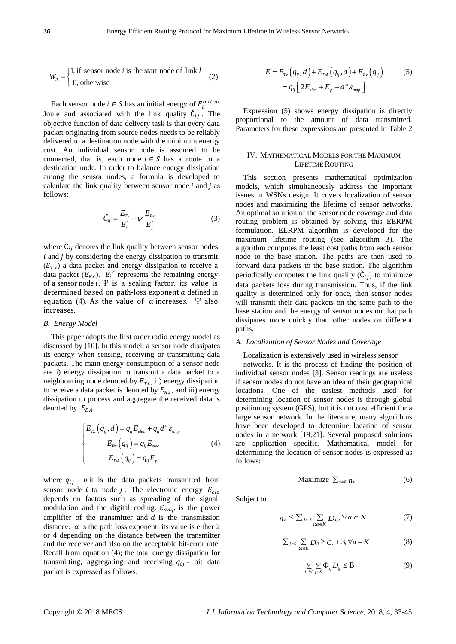$$
W_{ij} = \begin{cases} 1, & \text{if sensor node } i \text{ is the start node of link } l \\ 0, & \text{otherwise} \end{cases}
$$
 (2)

Each sensor node  $i \in S$  has an initial energy of  $E_i^i$ Joule and associated with the link quality  $\check{C}_{ii}$ . The objective function of data delivery task is that every data packet originating from source nodes needs to be reliably delivered to a destination node with the minimum energy cost. An individual sensor node is assumed to be connected, that is, each node  $i \in S$  has a route to a destination node. In order to balance energy dissipation among the sensor nodes, a formula is developed to calculate the link quality between sensor node  $i$  and  $j$  as follows:

$$
\check{C}_{ij} = \frac{E_{Tx}}{E_i^r} + \psi \frac{E_{Rx}}{E_j^r}
$$
\n(3)

where  $\check{C}_{ij}$  denotes the link quality between sensor nodes  $i$  and  $j$  by considering the energy dissipation to transmit  $(E_{T<sub>x</sub>})$  a data packet and energy dissipation to receive a data packet  $(E_{Rx})$ .  $E_i^r$  represents the remaining energy of a sensor node  $i$ . Ψ is a scaling factor, its value is determined based on path-loss exponent  $\alpha$  defined in equation (4). As the value of  $\alpha$  increases, Ψ also increases.

## *B. Energy Model*

This paper adopts the first order radio energy model as discussed by [10]. In this model, a sensor node dissipates its energy when sensing, receiving or transmitting data packets. The main energy consumption of a sensor node are i) energy dissipation to transmit a data packet to a neighbouring node denoted by  $E_{Tx}$ , ii) energy dissipation to receive a data packet is denoted by  $E_{Rx}$ , and iii) energy dissipation to process and aggregate the received data is denoted by  $E_{DA}$ .

$$
\begin{cases}\nE_{Tx}\left(q_{ij},d\right) = q_{ij}E_{elec} + q_{ij}d^{\alpha}\varepsilon_{amp} \\
E_{Rx}\left(q_{ij}\right) = q_{ij}E_{elec} \\
E_{DA}\left(q_{ij}\right) = q_{ij}E_{p}\n\end{cases}
$$
\n(4)

where  $q_{ij} - b$  it is the data packets transmitted from sensor node i to node j. The electronic energy  $E_{ele}$ depends on factors such as spreading of the signal, modulation and the digital coding.  $\mathcal{E}_{amp}$  is the power amplifier of the transmitter and  $d$  is the transmission distance.  $\alpha$  is the path loss exponent; its value is either 2 or 4 depending on the distance between the transmitter and the receiver and also on the acceptable bit-error rate. Recall from equation (4); the total energy dissipation for transmitting, aggregating and receiving  $q_{ij}$  - bit data packet is expressed as follows:

$$
E = E_{Tx}\left(q_{ij},d\right) + E_{DA}\left(q_{ij},d\right) + E_{Rx}\left(q_{ij}\right) \tag{5}
$$

$$
= q_{ij}\left[2E_{elec} + E_p + d^{\alpha}\varepsilon_{amp}\right]
$$

Expression (5) shows energy dissipation is directly proportional to the amount of data transmitted. Parameters for these expressions are presented in Table 2.

# IV. MATHEMATICAL MODELS FOR THE MAXIMUM LIFETIME ROUTING

This section presents mathematical optimization models, which simultaneously address the important issues in WSNs design. It covers localization of sensor nodes and maximizing the lifetime of sensor networks. An optimal solution of the sensor node coverage and data routing problem is obtained by solving this EERPM formulation. EERPM algorithm is developed for the maximum lifetime routing (see algorithm 3). The algorithm computes the least cost paths from each sensor node to the base station. The paths are then used to forward data packets to the base station. The algorithm periodically computes the link quality  $(\check{C}_{ij})$  to minimize data packets loss during transmission. Thus, if the link quality is determined only for once, then sensor nodes will transmit their data packets on the same path to the base station and the energy of sensor nodes on that path dissipates more quickly than other nodes on different paths.

# *A. Localization of Sensor Nodes and Coverage*

Localization is extensively used in wireless sensor

networks. It is the process of finding the position of individual sensor nodes [3]. Sensor readings are useless if sensor nodes do not have an idea of their geographical locations. One of the easiest methods used for determining location of sensor nodes is through global positioning system (GPS), but it is not cost efficient for a large sensor network. In the literature, many algorithms have been developed to determine location of sensor nodes in a network [19,21]. Several proposed solutions are application specific. Mathematical model for determining the location of sensor nodes is expressed as follows:

$$
\text{Maximize } \sum_{a \in K} n_a \tag{6}
$$

Subject to

$$
n_a \le \sum_{j \in S} \sum_{i:a \in K} D_{ij}, \forall a \in K \tag{7}
$$

$$
\sum_{j \in S} \sum_{i:a \in K} D_{ij} \ge C_a + 3, \forall a \in K
$$
 (8)

$$
\sum_{i \in W} \sum_{j \in S} \Phi_{ij} D_{ij} \leq \mathbf{B} \tag{9}
$$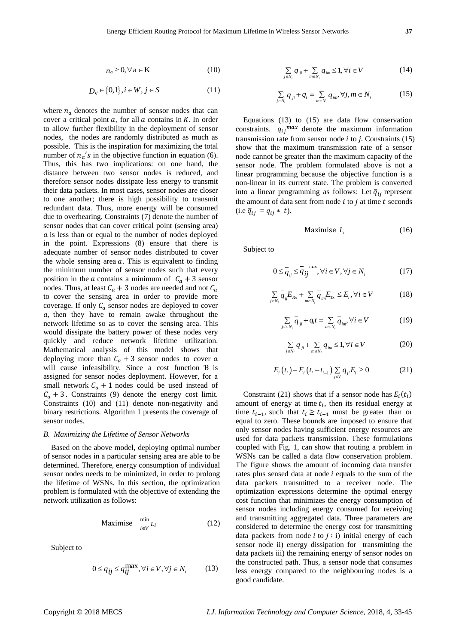$$
n_a \ge 0, \forall \, a \in K \tag{10}
$$

$$
D_{ij} \in \{0,1\}, i \in W, j \in S
$$
 (11)

 $\kappa_r \approx 0.76 \times 10.76 \times 10.76$ <br>
Do  $\kappa_r \approx 0.75$ <br>
One can be easily of a spin set of the set of the set of the set of the set of the set of the set of the set of the set of the set of the set of the set of the set of the s where  $n_a$  denotes the number of sensor nodes that can cover a critical point  $a$ , for all  $a$  contains in  $K$ . In order to allow further flexibility in the deployment of sensor nodes, the nodes are randomly distributed as much as possible. This is the inspiration for maximizing the total number of  $n_a$ 's in the objective function in equation (6). Thus, this has two implications: on one hand, the distance between two sensor nodes is reduced, and therefore sensor nodes dissipate less energy to transmit their data packets. In most cases, sensor nodes are closer to one another; there is high possibility to transmit redundant data. Thus, more energy will be consumed due to overhearing. Constraints (7) denote the number of sensor nodes that can cover critical point (sensing area)  $\alpha$  is less than or equal to the number of nodes deployed in the point. Expressions (8) ensure that there is adequate number of sensor nodes distributed to cover the whole sensing area  $a$ . This is equivalent to finding the minimum number of sensor nodes such that every position in the a contains a minimum of  $C_a + 3$  sensor nodes. Thus, at least  $C_a + 3$  nodes are needed and not  $C_a$ to cover the sensing area in order to provide more coverage. If only  $C_a$  sensor nodes are deployed to cover  $a$ , then they have to remain awake throughout the network lifetime so as to cover the sensing area. This would dissipate the battery power of these nodes very quickly and reduce network lifetime utilization. Mathematical analysis of this model shows that deploying more than  $C_a + 3$  sensor nodes to cover a will cause infeasibility. Since a cost function B is assigned for sensor nodes deployment. However, for a small network  $C_a + 1$  nodes could be used instead of  $C_a + 3$ . Constraints (9) denote the energy cost limit. Constraints (10) and (11) denote non-negativity and binary restrictions. Algorithm 1 presents the coverage of sensor nodes.

## *B. Maximizing the Lifetime of Sensor Networks*

Based on the above model, deploying optimal number of sensor nodes in a particular sensing area are able to be determined. Therefore, energy consumption of individual sensor nodes needs to be minimized, in order to prolong the lifetime of WSNs. In this section, the optimization problem is formulated with the objective of extending the network utilization as follows:

$$
\text{Maximise } \lim_{i \in V} L_i \tag{12}
$$

Subject to

$$
0 \le q_{ij} \le q_{ij}^{\max}, \forall i \in V, \forall j \in N_i \tag{13}
$$

$$
\sum_{j \in N_i} q_{ji} + \sum_{m \in N_i} q_{im} \le 1, \forall i \in V \tag{14}
$$

$$
\sum_{j \in N_i} q_{ji} + q_i = \sum_{m \in N_i} q_{im}, \forall j, m \in N_i
$$
 (15)

Equations (13) to (15) are data flow conservation constraints.  $q_{ij}^{max}$  denote the maximum information transmission rate from sensor node  $i$  to  $j$ . Constraints (15) show that the maximum transmission rate of a sensor node cannot be greater than the maximum capacity of the sensor node. The problem formulated above is not a linear programming because the objective function is a non-linear in its current state. The problem is converted into a linear programming as follows: Let  $\overline{q}_{ij}$  represent the amount of data sent from node  $i$  to  $j$  at time  $t$  seconds (i.e  $\overline{q}_{ij} = q_{ij} * t$ ).

$$
Maximise L_i \t\t(16)
$$

Subject to

$$
0 \leq \overline{q}_{ij} \leq \overline{q}_{ij}^{\max}, \forall i \in V, \forall j \in N_i
$$
 (17)

$$
\sum_{j\in N_i} \overline{q}_{ij} E_{Rx} + \sum_{m\in N_i} \overline{q}_{im} E_{Tx} \le E_i, \forall i \in V
$$
 (18)

$$
\sum_{j:i\in N_i} \overline{q}_{ji} + q_i t = \sum_{m\in N_i} \overline{q}_{im}, \forall i \in V \tag{19}
$$

$$
\sum_{j \in N_i} q_{ji} + \sum_{m \in N_i} q_{im} \le 1, \forall i \in V \tag{20}
$$

$$
E_i(t_i) - E_i(t_i - t_{i-1}) \sum_{j \in V} q_{ji} E_i \ge 0
$$
 (21)

Constraint (21) shows that if a sensor node has  $E_i(t_i)$ amount of energy at time  $t_i$ , then its residual energy at time  $t_{i-1}$ , such that  $t_i \geq t_{i-1}$  must be greater than or equal to zero. These bounds are imposed to ensure that only sensor nodes having sufficient energy resources are used for data packets transmission. These formulations coupled with Fig. 1, can show that routing a problem in WSNs can be called a data flow conservation problem. The figure shows the amount of incoming data transfer rates plus sensed data at node  $i$  equals to the sum of the data packets transmitted to a receiver node. The optimization expressions determine the optimal energy cost function that minimizes the energy consumption of sensor nodes including energy consumed for receiving and transmitting aggregated data. Three parameters are considered to determine the energy cost for transmitting data packets from node *i* to  $j : i$ ) initial energy of each sensor node ii) energy dissipation for transmitting the data packets iii) the remaining energy of sensor nodes on the constructed path. Thus, a sensor node that consumes less energy compared to the neighbouring nodes is a good candidate.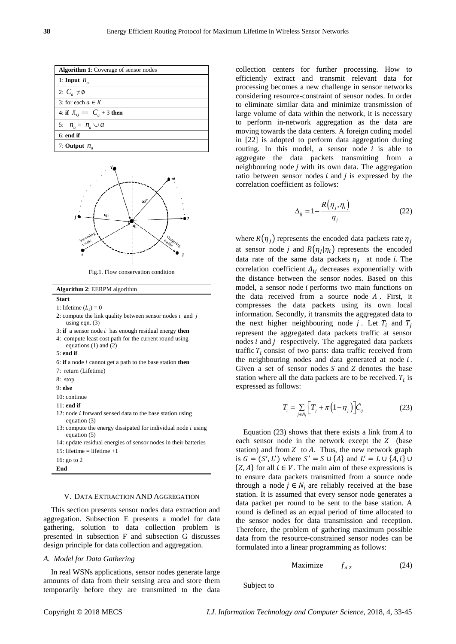| <b>Algorithm 1:</b> Coverage of sensor nodes |
|----------------------------------------------|
| 1: Input $n_a$                               |
| 2: $C_a \neq \emptyset$                      |
| 3: for each $a \in K$                        |
| 4: if $\pi_{ij} = C_a + 3$ then              |
| 5: $n_a = n_a \cup a$                        |
| $6:$ end if                                  |
| 7: Output $n_a$                              |



Fig.1. Flow conservation condition

| <b>Algorithm 2: EERPM algorithm</b>                                                 |
|-------------------------------------------------------------------------------------|
| <b>Start</b>                                                                        |
| 1: lifetime $(L_i) = 0$                                                             |
| 2: compute the link quality between sensor nodes $i$ and $j$<br>using eqn. $(3)$    |
| 3: if a sensor node $i$ has enough residual energy then                             |
| 4: compute least cost path for the current round using<br>equations $(1)$ and $(2)$ |
| $5$ end if                                                                          |
| 6: if a node <i>i</i> cannot get a path to the base station then                    |
| 7: return (Lifetime)                                                                |
| 8: stop                                                                             |
| $9:$ else                                                                           |
| 10: continue                                                                        |
| $11:$ end if                                                                        |
| 12: node <i>i</i> forward sensed data to the base station using<br>equation (3)     |
| 13: compute the energy dissipated for individual node i using<br>equation (5)       |
| 14: update residual energies of sensor nodes in their batteries                     |
| 15: lifetime = lifetime $+1$                                                        |
| 16: go to 2                                                                         |
| End                                                                                 |

# V. DATA EXTRACTION AND AGGREGATION

This section presents sensor nodes data extraction and aggregation. Subsection E presents a model for data gathering, solution to data collection problem is presented in subsection F and subsection G discusses design principle for data collection and aggregation.

# *A. Model for Data Gathering*

In real WSNs applications, sensor nodes generate large amounts of data from their sensing area and store them temporarily before they are transmitted to the data collection centers for further processing. How to efficiently extract and transmit relevant data for processing becomes a new challenge in sensor networks considering resource-constraint of sensor nodes. In order to eliminate similar data and minimize transmission of large volume of data within the network, it is necessary to perform in-network aggregation as the data are moving towards the data centers. A foreign coding model in [22] is adopted to perform data aggregation during routing. In this model, a sensor node  $i$  is able to aggregate the data packets transmitting from a neighbouring node  $j$  with its own data. The aggregation ratio between sensor nodes  $i$  and  $j$  is expressed by the correlation coefficient as follows:

$$
\Delta_{ij} = 1 - \frac{R(\eta_j, \eta_i)}{\eta_j} \tag{22}
$$

where  $R(\eta_i)$  represents the encoded data packets rate  $\eta_i$ at sensor node *j* and  $R(\eta_i|\eta_i)$  represents the encoded data rate of the same data packets  $\eta_i$  at node *i*. The correlation coefficient  $\Delta_{ij}$  decreases exponentially with the distance between the sensor nodes. Based on this model, a sensor node  $i$  performs two main functions on the data received from a source node  $A$ . First, it compresses the data packets using its own local information. Secondly, it transmits the aggregated data to the next higher neighbouring node j. Let  $T_i$  and  $T_i$ represent the aggregated data packets traffic at sensor nodes  $i$  and  $j$  respectively. The aggregated data packets traffic  $T_i$  consist of two parts: data traffic received from the neighbouring nodes and data generated at node  $i$ . Given a set of sensor nodes  $S$  and  $Z$  denotes the base station where all the data packets are to be received.  $T_i$  is expressed as follows:

$$
T_i = \sum_{j \in N_i} \left[ T_j + \pi \left( 1 - \eta_j \right) \right] \check{C}_{ij} \tag{23}
$$

Equation (23) shows that there exists a link from  $A$  to each sensor node in the network except the  $Z$  (base station) and from  $Z$  to  $A$ . Thus, the new network graph is  $G = (S', L')$  where  $S' = S \cup \{A\}$  and  $L' = L \cup \{A, i\}$  $\{Z, A\}$  for all  $i \in V$ . The main aim of these expressions is to ensure data packets transmitted from a source node through a node  $j \in N_i$  are reliably received at the base station. It is assumed that every sensor node generates a data packet per round to be sent to the base station. A round is defined as an equal period of time allocated to the sensor nodes for data transmission and reception. Therefore, the problem of gathering maximum possible data from the resource-constrained sensor nodes can be formulated into a linear programming as follows:

$$
Maximize \t f_{A,Z} \t(24)
$$

Subject to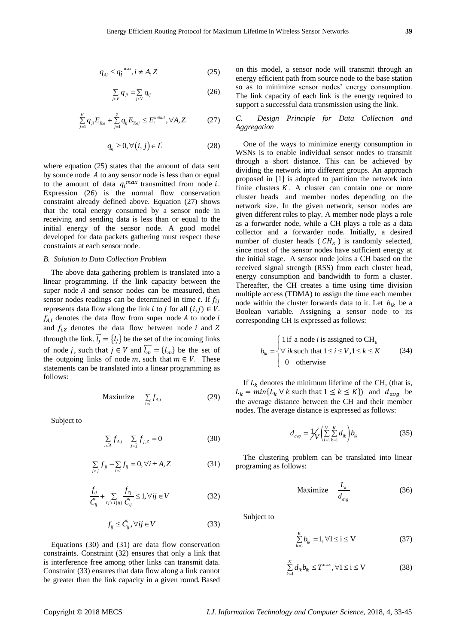$$
q_{Ai} \le q_i^{\max}, i \neq A, Z \tag{25}
$$

$$
\sum_{j\in V} q_{ji} = \sum_{j\in V} q_{ij} \tag{26}
$$

$$
\sum_{j=1}^{V} q_{ji} E_{Rxi} + \sum_{j=1}^{Z} q_{ij} E_{Txij} \le E_i^{initial}, \forall A, Z
$$
 (27)

$$
q_{ij} \ge 0, \forall (i, j) \in L \tag{28}
$$

where equation (25) states that the amount of data sent by source node  $A$  to any sensor node is less than or equal to the amount of data  $q_i^{max}$  transmitted from node i. Expression (26) is the normal flow conservation constraint already defined above. Equation (27) shows that the total energy consumed by a sensor node in receiving and sending data is less than or equal to the initial energy of the sensor node. A good model developed for data packets gathering must respect these constraints at each sensor node.

#### *B. Solution to Data Collection Problem*

The above data gathering problem is translated into a linear programming. If the link capacity between the super node  $A$  and sensor nodes can be measured, then sensor nodes readings can be determined in time t. If  $f_{ii}$ represents data flow along the link *i* to *j* for all  $(i, j) \in V$ .  $f_{A,i}$  denotes the data flow from super node A to node i and  $f_{i,z}$  denotes the data flow between node i and Z through the link.  $\vec{l}_i = \{l_i\}$  be the set of the incoming links of node *j*, such that  $j \in V$  and  $\overline{l_m} = \{l_m\}$  be the set of the outgoing links of node m, such that  $m \in V$ . These statements can be translated into a linear programming as follows:

$$
\text{Maximize} \quad \sum_{i \in I} f_{A,i} \tag{29}
$$

Subject to

$$
\sum_{i \in \bar{A}} f_{A,i} - \sum_{j \in \bar{j}} f_{j,Z} = 0
$$
 (30)

$$
\sum_{j \in \hat{j}} f_{ji} - \sum_{i \in \hat{i}} f_{ij} = 0, \forall i \pm A, Z \tag{31}
$$

$$
\frac{f_{ij}}{\check{C}_{ij}} + \sum_{i'j' \in I(i)} \frac{f_{ij'}}{\check{C}_{ij}} \le 1, \forall ij \in V
$$
\n(32)

$$
f_{ij} \le \check{C}_{ij}, \forall ij \in V \tag{33}
$$

Equations (30) and (31) are data flow conservation constraints. Constraint (32) ensures that only a link that is interference free among other links can transmit data. Constraint (33) ensures that data flow along a link cannot be greater than the link capacity in a given round. Based on this model, a sensor node will transmit through an energy efficient path from source node to the base station so as to minimize sensor nodes' energy consumption. The link capacity of each link is the energy required to support a successful data transmission using the link.

# *C. Design Principle for Data Collection and Aggregation*

q,  $z_0 = \frac{1}{4\pi} + \frac{1}{4\pi} \times 2$  (35) on the model and some context in terms of the model and the model and the model of the model of the model of the model of the model of the model of the model of the model of the mod One of the ways to minimize energy consumption in WSNs is to enable individual sensor nodes to transmit through a short distance. This can be achieved by dividing the network into different groups. An approach proposed in [1] is adopted to partition the network into finite clusters  $K$ . A cluster can contain one or more cluster heads and member nodes depending on the network size. In the given network, sensor nodes are given different roles to play. A member node plays a role as a forwarder node, while a CH plays a role as a data collector and a forwarder node. Initially, a desired number of cluster heads ( $CH_K$ ) is randomly selected, since most of the sensor nodes have sufficient energy at the initial stage. A sensor node joins a CH based on the received signal strength (RSS) from each cluster head, energy consumption and bandwidth to form a cluster. Thereafter, the CH creates a time using time division multiple access (TDMA) to assign the time each member node within the cluster forwards data to it. Let  $b_{ik}$  be a Boolean variable. Assigning a sensor node to its corresponding CH is expressed as follows:

$$
b_{ik} = \begin{cases} 1 \text{ if a node } i \text{ is assigned to } \text{CH}_{k} \\ \forall i k \text{ such that } 1 \le i \le V, 1 \le k \le K \\ 0 \quad \text{otherwise} \end{cases}
$$
 (34)

If  $L_k$  denotes the minimum lifetime of the CH, (that is,  $L_k = min\{L_k \forall k \text{ such that } 1 \le k \le K\}$  and  $d_{avg}$  be the average distance between the CH and their member nodes. The average distance is expressed as follows:

$$
d_{avg} = \frac{1}{V} \left( \sum_{i=1}^{V} \sum_{k=1}^{K} d_{ik} \right) b_{ik}
$$
 (35)

The clustering problem can be translated into linear programing as follows:

$$
\text{Maximize} \quad \frac{L_k}{d_{avg}} \tag{36}
$$

Subject to

$$
\sum_{k=1}^{K} b_{ik} = 1, \forall 1 \le i \le V \tag{37}
$$

$$
\sum_{k=1}^{K} d_{ik} b_{ik} \le T^{\max}, \forall 1 \le i \le V \tag{38}
$$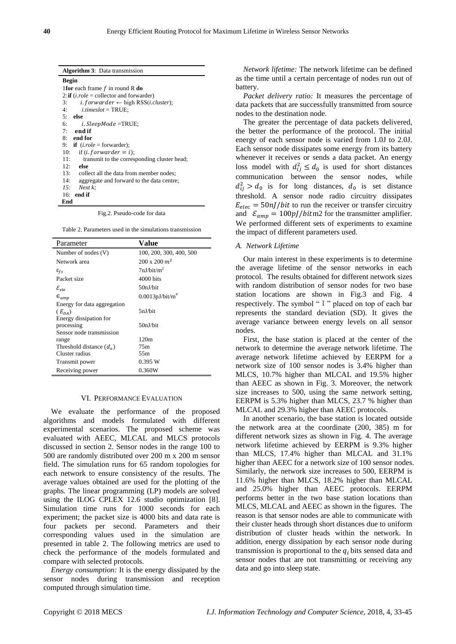| <b>Algorithm 3:</b> Data transmission                                |  |  |
|----------------------------------------------------------------------|--|--|
| Begin                                                                |  |  |
| <b>1for</b> each frame $f$ in round R do                             |  |  |
| 2: if $(i. role = collector and forwarder)$                          |  |  |
| <i>i. forwarder</i> $\leftarrow$ high RSS( <i>i.cluster</i> );<br>3: |  |  |
| $i.timeslot = TRUE;$<br>4:                                           |  |  |
| else<br>5:                                                           |  |  |
| 6:<br><i>i.SleepMode =</i> TRUE;                                     |  |  |
| 7:<br>end if                                                         |  |  |
| $8:$ end for                                                         |  |  |
| <b>if</b> $(i. role = forwarder)$ ;<br>9:                            |  |  |
| 10:<br>if ( <i>i. forwarder = i</i> );                               |  |  |
| 11:<br>transmit to the corresponding cluster head;                   |  |  |
| 12.<br>else                                                          |  |  |
| 13: collect all the data from member nodes;                          |  |  |
| 14:<br>aggregate and forward to the data centre;                     |  |  |
| 15:<br>Next k:                                                       |  |  |
| end if<br>16:                                                        |  |  |
| End                                                                  |  |  |

Fig.2. Pseudo-code for data

Table 2. Parameters used in the simulations transmission

| Parameter                   | Value                       |
|-----------------------------|-----------------------------|
| Number of nodes (V)         | 100, 200, 300, 400, 500     |
| Network area                | $200 \times 200$ $m2$       |
| $\varepsilon_{fs}$          | 7nI/hit/m <sup>2</sup>      |
| Packet size                 | 4000 bits                   |
| $\mathcal{E}_{ele}$         | 50nJ/bit                    |
| $\epsilon_{amp}$            | 0.0013pJ/bit/m <sup>4</sup> |
| Energy for data aggregation |                             |
| $(E_{DA})$                  | 5nJ/bit                     |
| Energy dissipation for      |                             |
| processing                  | 50nJ/bit                    |
| Sensor node transmission    |                             |
| range                       | 120m                        |
| Threshold distance $(d_0)$  | 75m                         |
| Cluster radius              | 55m                         |
| Transmit power              | 0.395 W                     |
| Receiving power             | 0.360W                      |

## VI. PERFORMANCE EVALUATION

We evaluate the performance of the proposed algorithms and models formulated with different experimental scenarios. The proposed scheme was evaluated with AEEC, MLCAL and MLCS protocols discussed in section 2. Sensor nodes in the range 100 to 500 are randomly distributed over 200 m x 200 m sensor field. The simulation runs for 65 random topologies for each network to ensure consistency of the results. The average values obtained are used for the plotting of the graphs. The linear programming (LP) models are solved using the ILOG CPLEX 12.6 studio optimization [8]. Simulation time runs for 1000 seconds for each experiment; the packet size is 4000 bits and data rate is four packets per second. Parameters and their corresponding values used in the simulation are presented in table 2. The following metrics are used to check the performance of the models formulated and compare with selected protocols.

*Energy consumption:* It is the energy dissipated by the sensor nodes during transmission and reception computed through simulation time.

*Network lifetime:* The network lifetime can be defined as the time until a certain percentage of nodes run out of battery.

*Packet delivery ratio:* It measures the percentage of data packets that are successfully transmitted from source nodes to the destination node.

The greater the percentage of data packets delivered, the better the performance of the protocol. The initial energy of each sensor node is varied from 1.0J to 2.0J. Each sensor node dissipates some energy from its battery whenever it receives or sends a data packet. An energy loss model with  $d_{ii}^2 \leq d_0$  is used for short distances communication between the sensor nodes, while  $d_{ii}^2 > d_0$  is for long distances,  $d_0$  is set distance threshold. A sensor node radio circuitry dissipates  $E_{elec} = 50nJ/bit$  to run the receiver or transfer circuitry and  $\mathcal{E}_{amp} = 100pJ/bitm2$  for the transmitter amplifier. We performed different sets of experiments to examine the impact of different parameters used.

## *A. Network Lifetime*

Our main interest in these experiments is to determine the average lifetime of the sensor networks in each protocol. The results obtained for different network sizes with random distribution of sensor nodes for two base station locations are shown in Fig.3 and Fig. 4 respectively. The symbol "I" placed on top of each bar represents the standard deviation (SD). It gives the average variance between energy levels on all sensor nodes.

First, the base station is placed at the center of the network to determine the average network lifetime. The average network lifetime achieved by EERPM for a network size of 100 sensor nodes is 3.4% higher than MLCS, 10.7% higher than MLCAL and 19.5% higher than AEEC as shown in Fig. 3. Moreover, the network size increases to 500, using the same network setting, EERPM is 5.3% higher than MLCS, 23.7 % higher than MLCAL and 29.3% higher than AEEC protocols.

In another scenario, the base station is located outside the network area at the coordinate (200, 385) m for different network sizes as shown in Fig. 4. The average network lifetime achieved by EERPM is 9.3% higher than MLCS, 17.4% higher than MLCAL and 31.1% higher than AEEC for a network size of 100 sensor nodes. Similarly, the network size increases to 500, EERPM is 11.6% higher than MLCS, 18.2% higher than MLCAL and 25.0% higher than AEEC protocols. EERPM performs better in the two base station locations than MLCS, MLCAL and AEEC as shown in the figures. The reason is that sensor nodes are able to communicate with their cluster heads through short distances due to uniform distribution of cluster heads within the network. In addition, energy dissipation by each sensor node during transmission is proportional to the  $q_i$  bits sensed data and sensor nodes that are not transmitting or receiving any data and go into sleep state.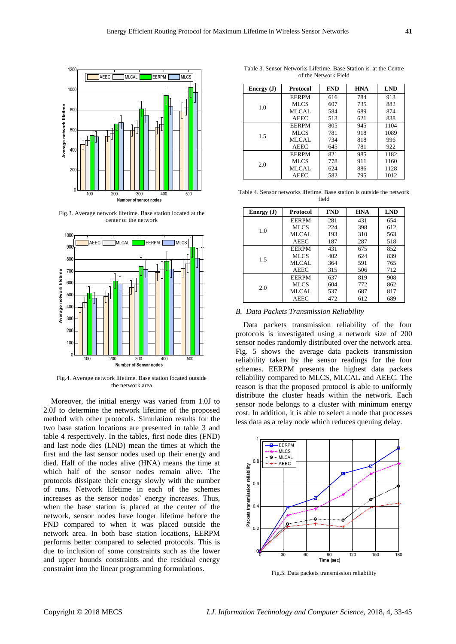

Fig.3. Average network lifetime. Base station located at the center of the network



Fig.4. Average network lifetime. Base station located outside the network area

Moreover, the initial energy was varied from 1.0J to 2.0J to determine the network lifetime of the proposed method with other protocols. Simulation results for the two base station locations are presented in table 3 and table 4 respectively. In the tables, first node dies (FND) and last node dies (LND) mean the times at which the first and the last sensor nodes used up their energy and died. Half of the nodes alive (HNA) means the time at which half of the sensor nodes remain alive. The protocols dissipate their energy slowly with the number of runs. Network lifetime in each of the schemes increases as the sensor nodes' energy increases. Thus, when the base station is placed at the center of the network, sensor nodes have longer lifetime before the FND compared to when it was placed outside the network area. In both base station locations, EERPM performs better compared to selected protocols. This is due to inclusion of some constraints such as the lower and upper bounds constraints and the residual energy constraint into the linear programming formulations.

| Energy $(J)$ | Protocol     | <b>FND</b> | <b>HNA</b> | <b>LND</b> |
|--------------|--------------|------------|------------|------------|
| 1.0          | <b>EERPM</b> | 616        | 784        | 913        |
|              | MLCS         | 607        | 735        | 882        |
|              | MLCAL.       | 584        | 689        | 874        |
|              | <b>AEEC</b>  | 513        | 621        | 838        |
| 1.5          | <b>EERPM</b> | 805        | 945        | 1104       |
|              | MLCS         | 781        | 918        | 1089       |
|              | MLCAL        | 734        | 818        | 996        |
|              | <b>AEEC</b>  | 645        | 781        | 922        |
| 2.0          | <b>EERPM</b> | 821        | 985        | 1182       |
|              | MLCS         | 778        | 911        | 1160       |
|              | MLCAL        | 624        | 886        | 1128       |
|              | <b>AEEC</b>  | 582        | 795        | 1012       |

Table 3. Sensor Networks Lifetime. Base Station is at the Centre of the Network Field

Table 4. Sensor networks lifetime. Base station is outside the network field

| Energy (J) | Protocol     | <b>FND</b> | <b>HNA</b> | <b>LND</b> |
|------------|--------------|------------|------------|------------|
| 1.0        | <b>EERPM</b> | 281        | 431        | 654        |
|            | MLCS         | 224        | 398        | 612        |
|            | MLCAL        | 193        | 310        | 563        |
|            | <b>AEEC</b>  | 187        | 287        | 518        |
| 1.5        | <b>EERPM</b> | 431        | 675        | 852        |
|            | MLCS         | 402        | 624        | 839        |
|            | MLCAL        | 364        | 591        | 765        |
|            | <b>AEEC</b>  | 315        | 506        | 712        |
| 2.0        | <b>EERPM</b> | 637        | 819        | 908        |
|            | MLCS         | 604        | 772        | 862        |
|            | MLCAL        | 537        | 687        | 817        |
|            | <b>AEEC</b>  | 472        | 612        | 689        |

*B. Data Packets Transmission Reliability*

Data packets transmission reliability of the four protocols is investigated using a network size of 200 sensor nodes randomly distributed over the network area. Fig. 5 shows the average data packets transmission reliability taken by the sensor readings for the four schemes. EERPM presents the highest data packets reliability compared to MLCS, MLCAL and AEEC. The reason is that the proposed protocol is able to uniformly distribute the cluster heads within the network. Each sensor node belongs to a cluster with minimum energy cost. In addition, it is able to select a node that processes less data as a relay node which reduces queuing delay.



Fig.5. Data packets transmission reliability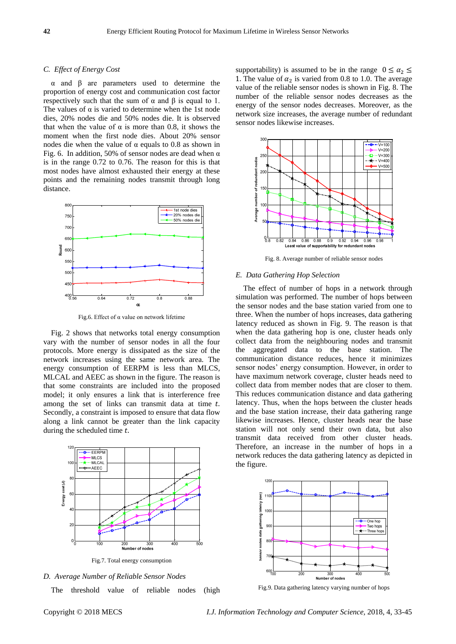# *C. Effect of Energy Cost*

α and β are parameters used to determine the proportion of energy cost and communication cost factor respectively such that the sum of  $\alpha$  and  $\beta$  is equal to 1. The values of  $\alpha$  is varied to determine when the 1st node dies, 20% nodes die and 50% nodes die. It is observed that when the value of α is more than 0.8, it shows the moment when the first node dies. About 20% sensor nodes die when the value of α equals to 0.8 as shown in Fig. 6. In addition, 50% of sensor nodes are dead when  $\alpha$ is in the range 0.72 to 0.76. The reason for this is that most nodes have almost exhausted their energy at these points and the remaining nodes transmit through long distance.



Fig.6. Effect of  $\alpha$  value on network lifetime

Fig. 2 shows that networks total energy consumption vary with the number of sensor nodes in all the four protocols. More energy is dissipated as the size of the network increases using the same network area. The energy consumption of EERPM is less than MLCS, MLCAL and AEEC as shown in the figure. The reason is that some constraints are included into the proposed model; it only ensures a link that is interference free among the set of links can transmit data at time  $t$ . Secondly, a constraint is imposed to ensure that data flow along a link cannot be greater than the link capacity during the scheduled time  $t$ .



Fig.7. Total energy consumption



The threshold value of reliable nodes (high

supportability) is assumed to be in the range  $0 \le \alpha_2 \le$ 1. The value of  $\alpha_2$  is varied from 0.8 to 1.0. The average value of the reliable sensor nodes is shown in Fig. 8. The number of the reliable sensor nodes decreases as the energy of the sensor nodes decreases. Moreover, as the network size increases, the average number of redundant sensor nodes likewise increases.



Fig. 8. Average number of reliable sensor nodes

# *E. Data Gathering Hop Selection*

The effect of number of hops in a network through simulation was performed. The number of hops between the sensor nodes and the base station varied from one to three. When the number of hops increases, data gathering latency reduced as shown in Fig. 9. The reason is that when the data gathering hop is one, cluster heads only collect data from the neighbouring nodes and transmit the aggregated data to the base station. The communication distance reduces, hence it minimizes sensor nodes' energy consumption. However, in order to have maximum network coverage, cluster heads need to collect data from member nodes that are closer to them. This reduces communication distance and data gathering latency. Thus, when the hops between the cluster heads and the base station increase, their data gathering range likewise increases. Hence, cluster heads near the base station will not only send their own data, but also transmit data received from other cluster heads. Therefore, an increase in the number of hops in a network reduces the data gathering latency as depicted in the figure.



Fig.9. Data gathering latency varying number of hops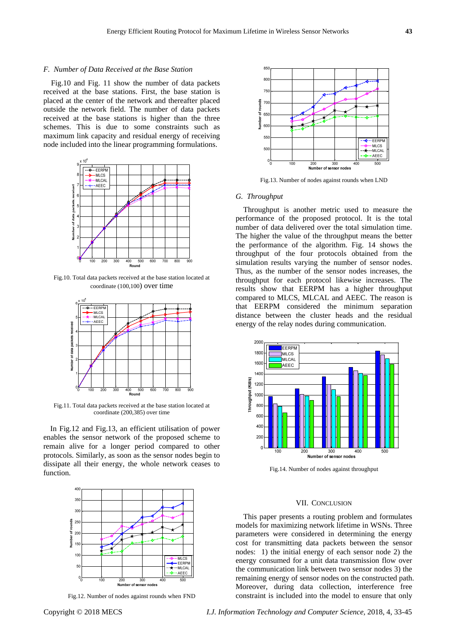# *F. Number of Data Received at the Base Station*

Fig.10 and Fig. 11 show the number of data packets received at the base stations. First, the base station is placed at the center of the network and thereafter placed outside the network field. The number of data packets received at the base stations is higher than the three schemes. This is due to some constraints such as maximum link capacity and residual energy of receiving node included into the linear programming formulations.



Fig.10. Total data packets received at the base station located at coordinate (100,100) over time



Fig.11. Total data packets received at the base station located at coordinate (200,385) over time

In Fig.12 and Fig.13, an efficient utilisation of power enables the sensor network of the proposed scheme to remain alive for a longer period compared to other protocols. Similarly, as soon as the sensor nodes begin to dissipate all their energy, the whole network ceases to function.



Fig.12. Number of nodes against rounds when FND



Fig.13. Number of nodes against rounds when LND

# *G. Throughput*

Throughput is another metric used to measure the performance of the proposed protocol. It is the total number of data delivered over the total simulation time. The higher the value of the throughput means the better the performance of the algorithm. Fig. 14 shows the throughput of the four protocols obtained from the simulation results varying the number of sensor nodes. Thus, as the number of the sensor nodes increases, the throughput for each protocol likewise increases. The results show that EERPM has a higher throughput compared to MLCS, MLCAL and AEEC. The reason is that EERPM considered the minimum separation distance between the cluster heads and the residual energy of the relay nodes during communication.



Fig.14. Number of nodes against throughput

## VII. CONCLUSION

This paper presents a routing problem and formulates models for maximizing network lifetime in WSNs. Three parameters were considered in determining the energy cost for transmitting data packets between the sensor nodes: 1) the initial energy of each sensor node 2) the energy consumed for a unit data transmission flow over the communication link between two sensor nodes 3) the remaining energy of sensor nodes on the constructed path. Moreover, during data collection, interference free constraint is included into the model to ensure that only

Copyright © 2018 MECS *I.J. Information Technology and Computer Science,* 2018, 4, 33-45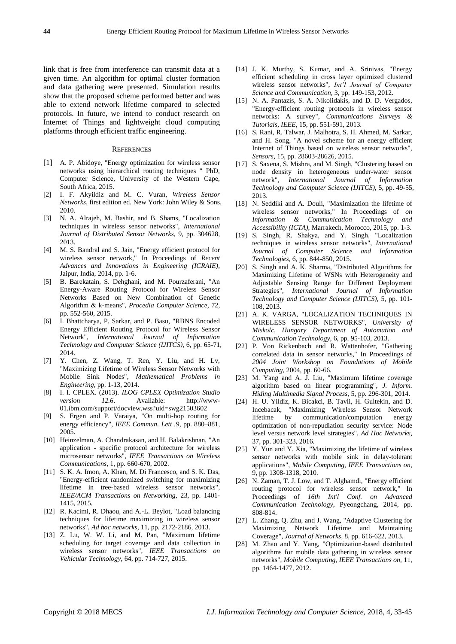link that is free from interference can transmit data at a given time. An algorithm for optimal cluster formation and data gathering were presented. Simulation results show that the proposed scheme performed better and was able to extend network lifetime compared to selected protocols. In future, we intend to conduct research on Internet of Things and lightweight cloud computing platforms through efficient traffic engineering.

# **REFERENCES**

- [1] A. P. Abidoye, "Energy optimization for wireless sensor networks using hierarchical routing techniques " PhD, Computer Science, University of the Western Cape, South Africa, 2015.
- [2] I. F. Akyildiz and M. C. Vuran, *Wireless Sensor Networks*, first edition ed. New York: John Wiley & Sons, 2010.
- [3] N. A. Alrajeh, M. Bashir, and B. Shams, "Localization techniques in wireless sensor networks", *International Journal of Distributed Sensor Networks,* 9, pp. 304628, 2013.
- [4] M. S. Bandral and S. Jain, "Energy efficient protocol for wireless sensor network," In Proceedings of *Recent Advances and Innovations in Engineering (ICRAIE)*, Jaipur, India, 2014, pp. 1-6.
- [5] B. Barekatain, S. Dehghani, and M. Pourzaferani, "An Energy-Aware Routing Protocol for Wireless Sensor Networks Based on New Combination of Genetic Algorithm & k-means", *Procedia Computer Science,* 72, pp. 552-560, 2015.
- [6] I. Bhattcharya, P. Sarkar, and P. Basu, "RBNS Encoded Energy Efficient Routing Protocol for Wireless Sensor Network", *International Journal of Information Technology and Computer Science (IJITCS),* 6, pp. 65-71, 2014.
- [7] Y. Chen, Z. Wang, T. Ren, Y. Liu, and H. Lv, "Maximizing Lifetime of Wireless Sensor Networks with Mobile Sink Nodes", *Mathematical Problems in Engineering*, pp. 1-13, 2014.
- [8] I. I. CPLEX. (2013). *ILOG CPLEX Optimization Studio version 12.6*. Available: http://www-01.ibm.com/support/docview.wss?uid=swg21503602
- [9] S. Ergen and P. Varaiya, "On multi-hop routing for energy efficiency", *IEEE Commun. Lett .9*, pp. 880–881, 2005.
- [10] Heinzelman, A. Chandrakasan, and H. Balakrishnan, "An application - specific protocol architecture for wireless microsensor networks", *IEEE Transactions on Wireless Communications,* 1, pp. 660-670, 2002.
- [11] S. K. A. Imon, A. Khan, M. Di Francesco, and S. K. Das, "Energy-efficient randomized switching for maximizing lifetime in tree-based wireless sensor networks", *IEEE/ACM Transactions on Networking,* 23, pp. 1401- 1415, 2015.
- [12] R. Kacimi, R. Dhaou, and A.-L. Beylot, "Load balancing techniques for lifetime maximizing in wireless sensor networks", *Ad hoc networks,* 11, pp. 2172-2186, 2013.
- [13] Z. Lu, W. W. Li, and M. Pan, "Maximum lifetime scheduling for target coverage and data collection in wireless sensor networks", *IEEE Transactions on Vehicular Technology,* 64, pp. 714-727, 2015.
- [14] J. K. Murthy, S. Kumar, and A. Srinivas, "Energy efficient scheduling in cross layer optimized clustered wireless sensor networks", *Int'l Journal of Computer Science and Communication,* 3, pp. 149-153, 2012.
- [15] N. A. Pantazis, S. A. Nikolidakis, and D. D. Vergados, "Energy-efficient routing protocols in wireless sensor networks: A survey", *Communications Surveys & Tutorials, IEEE,* 15, pp. 551-591, 2013.
- [16] S. Rani, R. Talwar, J. Malhotra, S. H. Ahmed, M. Sarkar, and H. Song, "A novel scheme for an energy efficient Internet of Things based on wireless sensor networks", *Sensors,* 15, pp. 28603-28626, 2015.
- [17] S. Saxena, S. Mishra, and M. Singh, "Clustering based on node density in heterogeneous under-water sensor network", *International Journal of Information Technology and Computer Science (IJITCS),* 5, pp. 49-55, 2013.
- [18] N. Seddiki and A. Douli, "Maximization the lifetime of wireless sensor networks," In Proceedings of *on Information & Communication Technology and Accessibility (ICTA)*, Marrakech, Morocco, 2015, pp. 1-3.
- [19] S. Singh, R. Shakya, and Y. Singh, "Localization techniques in wireless sensor networks", *International Journal of Computer Science and Information Technologies,* 6, pp. 844-850, 2015.
- [20] S. Singh and A. K. Sharma, "Distributed Algorithms for Maximizing Lifetime of WSNs with Heterogeneity and Adjustable Sensing Range for Different Deployment Strategies", *International Journal of Information Technology and Computer Science (IJITCS),* 5, pp. 101- 108, 2013.
- [21] A. K. VARGA, "LOCALIZATION TECHNIQUES IN WIRELESS SENSOR NETWORKS", *University of Miskolc, Hungary Department of Automation and Communication Technology,* 6, pp. 95-103, 2013.
- [22] P. Von Rickenbach and R. Wattenhofer, "Gathering correlated data in sensor networks," In Proceedings of *2004 Joint Workshop on Foundations of Mobile Computing*, 2004, pp. 60-66.
- [23] M. Yang and A. J. Liu, "Maximum lifetime coverage algorithm based on linear programming", *J. Inform. Hiding Multimedia Signal Process,* 5, pp. 296-301, 2014.
- [24] H. U. Yildiz, K. Bicakci, B. Tavli, H. Gultekin, and D. Incebacak, "Maximizing Wireless Sensor Network lifetime by communication/computation energy optimization of non-repudiation security service: Node level versus network level strategies", *Ad Hoc Networks,*  37, pp. 301-323, 2016.
- [25] Y. Yun and Y. Xia, "Maximizing the lifetime of wireless sensor networks with mobile sink in delay-tolerant applications", *Mobile Computing, IEEE Transactions on,*  9, pp. 1308-1318, 2010.
- [26] N. Zaman, T. J. Low, and T. Alghamdi, "Energy efficient routing protocol for wireless sensor network," In Proceedings of *16th Int'l Conf. on Advanced Communication Technology*, Pyeongchang, 2014, pp. 808-814.
- [27] L. Zhang, Q. Zhu, and J. Wang, "Adaptive Clustering for Maximizing Network Lifetime and Maintaining Coverage", *Journal of Networks,* 8, pp. 616-622, 2013.
- [28] M. Zhao and Y. Yang, "Optimization-based distributed algorithms for mobile data gathering in wireless sensor networks", *Mobile Computing, IEEE Transactions on,* 11, pp. 1464-1477, 2012.